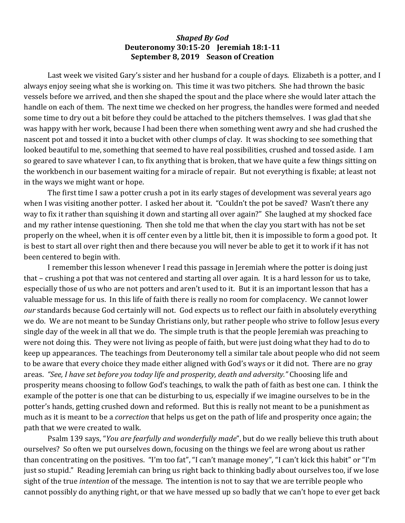## *Shaped By God* **Deuteronomy 30:15-20 Jeremiah 18:1-11 September 8, 2019 Season of Creation**

Last week we visited Gary's sister and her husband for a couple of days. Elizabeth is a potter, and I always enjoy seeing what she is working on. This time it was two pitchers. She had thrown the basic vessels before we arrived, and then she shaped the spout and the place where she would later attach the handle on each of them. The next time we checked on her progress, the handles were formed and needed some time to dry out a bit before they could be attached to the pitchers themselves. I was glad that she was happy with her work, because I had been there when something went awry and she had crushed the nascent pot and tossed it into a bucket with other clumps of clay. It was shocking to see something that looked beautiful to me, something that seemed to have real possibilities, crushed and tossed aside. I am so geared to save whatever I can, to fix anything that is broken, that we have quite a few things sitting on the workbench in our basement waiting for a miracle of repair. But not everything is fixable; at least not in the ways we might want or hope.

The first time I saw a potter crush a pot in its early stages of development was several years ago when I was visiting another potter. I asked her about it. "Couldn't the pot be saved? Wasn't there any way to fix it rather than squishing it down and starting all over again?" She laughed at my shocked face and my rather intense questioning. Then she told me that when the clay you start with has not be set properly on the wheel, when it is off center even by a little bit, then it is impossible to form a good pot. It is best to start all over right then and there because you will never be able to get it to work if it has not been centered to begin with.

I remember this lesson whenever I read this passage in Jeremiah where the potter is doing just that – crushing a pot that was not centered and starting all over again. It is a hard lesson for us to take, especially those of us who are not potters and aren't used to it. But it is an important lesson that has a valuable message for us. In this life of faith there is really no room for complacency. We cannot lower *our* standards because God certainly will not. God expects us to reflect our faith in absolutely everything we do. We are not meant to be Sunday Christians only, but rather people who strive to follow Jesus every single day of the week in all that we do. The simple truth is that the people Jeremiah was preaching to were not doing this. They were not living as people of faith, but were just doing what they had to do to keep up appearances. The teachings from Deuteronomy tell a similar tale about people who did not seem to be aware that every choice they made either aligned with God's ways or it did not. There are no gray areas. *"See, I have set before you today life and prosperity, death and adversity."* Choosing life and prosperity means choosing to follow God's teachings, to walk the path of faith as best one can. I think the example of the potter is one that can be disturbing to us, especially if we imagine ourselves to be in the potter's hands, getting crushed down and reformed. But this is really not meant to be a punishment as much as it is meant to be a *correction* that helps us get on the path of life and prosperity once again; the path that we were created to walk.

Psalm 139 says, "*You are fearfully and wonderfully made"*, but do we really believe this truth about ourselves? So often we put ourselves down, focusing on the things we feel are wrong about us rather than concentrating on the positives. "I'm too fat", "I can't manage money", "I can't kick this habit" or "I'm just so stupid." Reading Jeremiah can bring us right back to thinking badly about ourselves too, if we lose sight of the true *intention* of the message. The intention is not to say that we are terrible people who cannot possibly do anything right, or that we have messed up so badly that we can't hope to ever get back